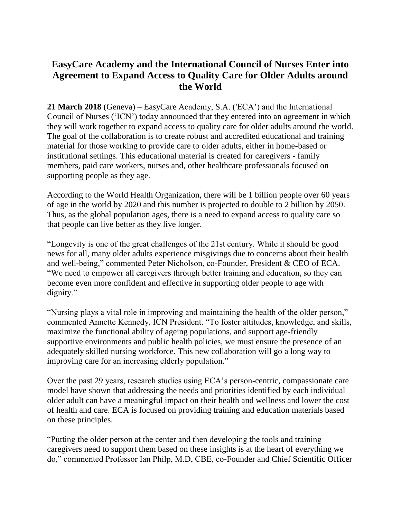## **EasyCare Academy and the International Council of Nurses Enter into Agreement to Expand Access to Quality Care for Older Adults around the World**

**21 March 2018** (Geneva) – EasyCare Academy, S.A. ('ECA') and the International Council of Nurses ('ICN') today announced that they entered into an agreement in which they will work together to expand access to quality care for older adults around the world. The goal of the collaboration is to create robust and accredited educational and training material for those working to provide care to older adults, either in home-based or institutional settings. This educational material is created for caregivers - family members, paid care workers, nurses and, other healthcare professionals focused on supporting people as they age.

According to the World Health Organization, there will be 1 billion people over 60 years of age in the world by 2020 and this number is projected to double to 2 billion by 2050. Thus, as the global population ages, there is a need to expand access to quality care so that people can live better as they live longer.

"Longevity is one of the great challenges of the 21st century. While it should be good news for all, many older adults experience misgivings due to concerns about their health and well-being," commented Peter Nicholson, co-Founder, President & CEO of ECA. "We need to empower all caregivers through better training and education, so they can become even more confident and effective in supporting older people to age with dignity."

"Nursing plays a vital role in improving and maintaining the health of the older person," commented Annette Kennedy, ICN President. "To foster attitudes, knowledge, and skills, maximize the functional ability of ageing populations, and support age-friendly supportive environments and public health policies, we must ensure the presence of an adequately skilled nursing workforce. This new collaboration will go a long way to improving care for an increasing elderly population."

Over the past 29 years, research studies using ECA's person-centric, compassionate care model have shown that addressing the needs and priorities identified by each individual older adult can have a meaningful impact on their health and wellness and lower the cost of health and care. ECA is focused on providing training and education materials based on these principles.

"Putting the older person at the center and then developing the tools and training caregivers need to support them based on these insights is at the heart of everything we do," commented Professor Ian Philp, M.D, CBE, co-Founder and Chief Scientific Officer